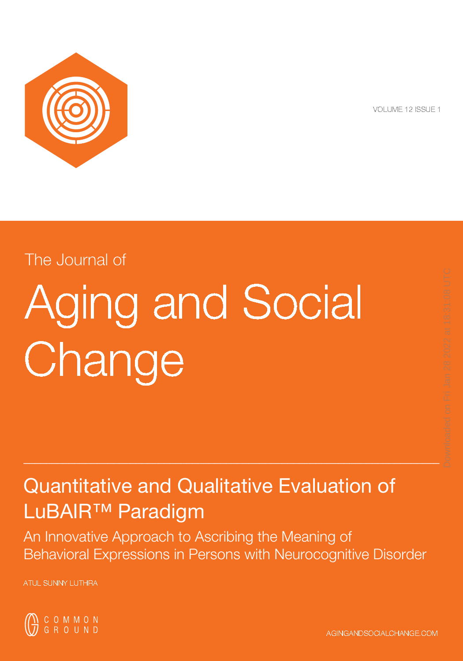

VOLUME 12 ISSUE 1

# The Journal of

# Aging and Social **Change**

# Quantitative and Qualitative Evaluation of LuBAIR™ Paradigm

An Innovative Approach to Ascribing the Meaning of Behavioral Expressions in Persons with Neurocognitive Disorder

 $_\sim$  , and the set of the set of the set of the set of the set of the set of the set of the set of the set of the set of the set of the set of the set of the set of the set of the set of the set of the set of the set of t

ATUL SUNNY LUTHRA

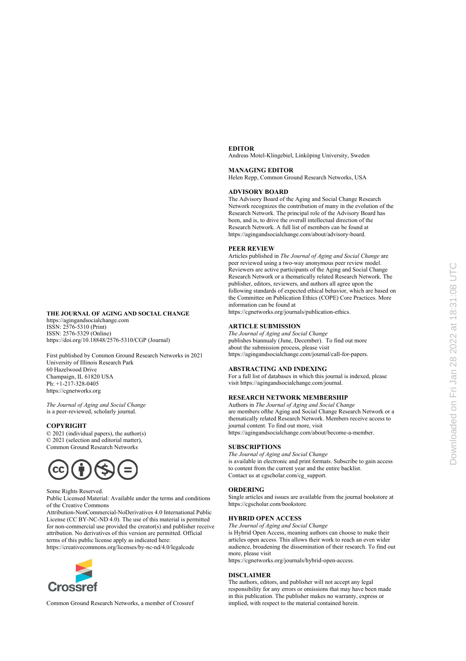## **EDITOR**

Andreas Motel-Klingebiel, Linköping University, Sweden

#### **MANAGING EDITOR**

Helen Repp, Common Ground Research Networks, USA

#### **ADVISORY BOARD**

The Advisory Board of the Aging and Social Change Research Network recognizes the contribution of many in the evolution of the Research Network. The principal role of the Advisory Board has been, and is, to drive the overall intellectual direction of the Research Network. A full list of members can be found at https://agingandsocialchange.com/about/advisory-board.

#### **PEER REVIEW**

Articles published in *The Journal of Aging and Social Change* are peer reviewed using a two-way anonymous peer review model. Reviewers are active participants of the Aging and Social Change Research Network or a thematically related Research Network. The publisher, editors, reviewers, and authors all agree upon the following standards of expected ethical behavior, which are based on the Committee on Publication Ethics (COPE) Core Practices. More information can be found at

https://cgnetworks.org/journals/publication-ethics.

#### **ARTICLE SUBMISSION**

*The Journal of Aging and Social Change*  publishes biannualy (June, December). To find out more about the submission process, please visit https://agingandsocialchange.com/journal/call-for-papers.

#### **ABSTRACTING AND INDEXING**

For a full list of databases in which this journal is indexed, please visit https://agingandsocialchange.com/journal.

#### **RESEARCH NETWORK MEMBERSHIP**

Authors in *The Journal of Aging and Social Change*  are members ofthe Aging and Social Change Research Network or a thematically related Research Network. Members receive access to journal content. To find out more, visit https://agingandsocialchange.com/about/become-a-member.

#### **SUBSCRIPTIONS**

*The Journal of Aging and Social Change* is available in electronic and print formats. Subscribe to gain access to content from the current year and the entire backlist. Contact us at cgscholar.com/cg\_support.

#### **ORDERING**

Single articles and issues are available from the journal bookstore at https://cgscholar.com/bookstore.

#### **HYBRID OPEN ACCESS**

*The Journal of Aging and Social Change* 

is Hybrid Open Access, meaning authors can choose to make their articles open access. This allows their work to reach an even wider audience, broadening the dissemination of their research. To find out more, please visit

https://cgnetworks.org/journals/hybrid-open-access.

#### **DISCLAIMER**

The authors, editors, and publisher will not accept any legal responsibility for any errors or omissions that may have been made in this publication. The publisher makes no warranty, express or implied, with respect to the material contained herein.



https://agingandsocialchange.com ISSN: 2576-5310 (Print) ISSN: 2576-5329 (Online) https://doi.org/10.18848/2576-5310/CGP (Journal)

First published by Common Ground Research Networks in 2021 University of Illinois Research Park 60 Hazelwood Drive Champaign, IL 61820 USA Ph: +1-217-328-0405 https://cgnetworks.org

*The Journal of Aging and Social Change*  is a peer-reviewed, scholarly journal.

### **COPYRIGHT**

© 2021 (individual papers), the author(s) © 2021 (selection and editorial matter), Common Ground Research Networks



#### Some Rights Reserved.

Public Licensed Material: Available under the terms and conditions of the Creative Commons

Attribution-NonCommercial-NoDerivatives 4.0 International Public License (CC BY-NC-ND 4.0). The use of this material is permitted for non-commercial use provided the creator(s) and publisher receive attribution. No derivatives of this version are permitted. Official terms of this public license apply as indicated here:

https://creativecommons.org/licenses/by-nc-nd/4.0/legalcode



Common Ground Research Networks, a member of Crossref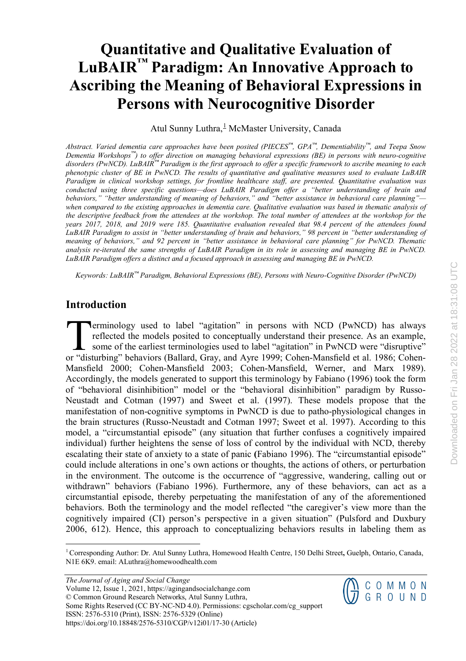## **Quantitative and Qualitative Evaluation of LuBAIR™ Paradigm: An Innovative Approach to Ascribing the Meaning of Behavioral Expressions in Persons with Neurocognitive Disorder**

Atul Sunny Luthra, McMaster University, Canada

Abstract. Varied dementia care approaches have been posited ( $PIECES^{\mathbb{N}}$ ,  $GPA^{\mathbb{N}}$ , Dementiability<sup>18</sup>, and Teepa Snow *Dementia Workshops™) to offer direction on managing behavioral expressions (BE) in persons with neuro-cognitive* disorders (PwNCD). LuBAIR™ Paradigm is the first approach to offer a specific framework to ascribe meaning to each phenotypic cluster of BE in PwNCD. The results of quantitative and qualitative measures used to evaluate LuBAIR *Paradigm in clinical workshop settings, for frontline healthcare staff, are presented. Quantitative evaluation was conducted using three specific questions—does LuBAIR Paradigm offer a "better understanding of brain and behaviors," "better understanding of meaning of behaviors," and "better assistance in behavioral care planning"*  when compared to the existing approaches in dementia care. Qualitative evaluation was based in thematic analysis of the descriptive feedback from the attendees at the workshop. The total number of attendees at the workshop for the *years 2017, 2018, and 2019 were 185. Quantitative evaluation revealed that 98.4 percent of the attendees found LuBAIR Paradigm to assist in "better understanding of brain and behaviors," 98 percent in "better understanding of meaning of behaviors," and 92 percent in "better assistance in behavioral care planning" for PwNCD. Thematic* analysis re-iterated the same strengths of LuBAIR Paradigm in its role in assessing and managing BE in PwNCD. *LuBAIR Paradigm offers a distinct and a focused approach in assessing and managing BE in PwNCD.* 

*Keywords: LuBAIR™ Paradigm, Behavioral Expressions (BE), Persons with Neuro-Cognitive Disorder (PwNCD)*

## **Introduction**

**Perminology used to label "agitation" in persons with NCD (PwNCD) has always** reflected the models posited to conceptually understand their presence. As an example, some of the earliest terminologies used to label "agitation" in PwNCD were "disruptive" **CORTANCE TEND ENTERTM**<br>Terminology used to label "agitation" in persons with NCD (PwNCD) has always<br>reflected the models posited to conceptually understand their presence. As an example,<br>some of the earliest terminologies Mansfield 2000; Cohen-Mansfield 2003; Cohen-Mansfield, Werner, and Marx 1989). Accordingly, the models generated to support this terminology by Fabiano (1996) took the form of "behavioral disinhibition" model or the "behavioral disinhibition" paradigm by Russo-Neustadt and Cotman (1997) and Sweet et al. (1997). These models propose that the manifestation of non-cognitive symptoms in PwNCD is due to patho-physiological changes in the brain structures (Russo-Neustadt and Cotman 1997; Sweet et al. 1997). According to this model, a "circumstantial episode" (any situation that further confuses a cognitively impaired individual) further heightens the sense of loss of control by the individual with NCD, thereby escalating their state of anxiety to a state of panic **(**Fabiano 1996). The "circumstantial episode" could include alterations in one's own actions or thoughts, the actions of others, or perturbation in the environment. The outcome is the occurrence of "aggressive, wandering, calling out or withdrawn" behaviors (Fabiano 1996). Furthermore, any of these behaviors, can act as a circumstantial episode, thereby perpetuating the manifestation of any of the aforementioned behaviors. Both the terminology and the model reflected "the caregiver's view more than the cognitively impaired (CI) person's perspective in a given situation" (Pulsford and Duxbury 2006, 612). Hence, this approach to conceptualizing behaviors results in labeling them as

*The Journal of Aging and Social Change*  Volume 12, Issue 1, 2021, https://agingandsocialchange.com © Common Ground Research Networks, Atul Sunny Luthra, Some Rights Reserved (CC BY-NC-ND 4.0). Permissions: cgscholar.com/cg\_support ISSN: 2576-5310 (Print), ISSN: 2576-5329 (Online) https://doi.org/10.18848/2576-5310/CGP/v12i01/17-30 (Article)

 $\left(\begin{matrix} \mathbf{N} & \mathbf{C} & \mathbf{O} & \mathbf{M} & \mathbf{M} & \mathbf{O} & \mathbf{N} \\ \mathbf{N} & \mathbf{G} & \mathbf{R} & \mathbf{O} & \mathbf{U} & \mathbf{N} & \mathbf{D} \end{matrix}\right)$ 

<span id="page-2-0"></span><sup>1</sup>Corresponding Author: Dr. Atul Sunny Luthra, Homewood Health Centre, 150 Delhi Street**,** Guelph, Ontario, Canada, N1E 6K9. email: ALuthra@homewoodhealth.com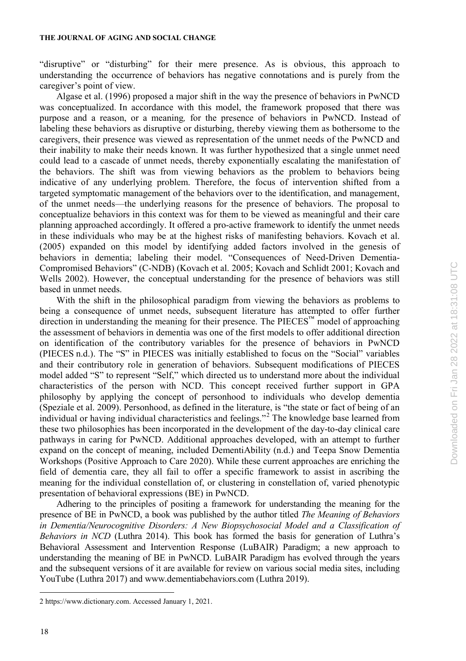"disruptive" or "disturbing" for their mere presence. As is obvious, this approach to understanding the occurrence of behaviors has negative connotations and is purely from the caregiver's point of view.

Algase et al. (1996) proposed a major shift in the way the presence of behaviors in PwNCD was conceptualized. In accordance with this model, the framework proposed that there was purpose and a reason, or a meaning*,* for the presence of behaviors in PwNCD. Instead of labeling these behaviors as disruptive or disturbing, thereby viewing them as bothersome to the caregivers, their presence was viewed as representation of the unmet needs of the PwNCD and their inability to make their needs known. It was further hypothesized that a single unmet need could lead to a cascade of unmet needs, thereby exponentially escalating the manifestation of the behaviors. The shift was from viewing behaviors as the problem to behaviors being indicative of any underlying problem. Therefore, the focus of intervention shifted from a targeted symptomatic management of the behaviors over to the identification, and management, of the unmet needs—the underlying reasons for the presence of behaviors. The proposal to conceptualize behaviors in this context was for them to be viewed as meaningful and their care planning approached accordingly. It offered a pro-active framework to identify the unmet needs in these individuals who may be at the highest risks of manifesting behaviors. Kovach et al. (2005) expanded on this model by identifying added factors involved in the genesis of behaviors in dementia; labeling their model. "Consequences of Need-Driven Dementia-Compromised Behaviors" (C-NDB) (Kovach et al. 2005; Kovach and Schlidt 2001; Kovach and Wells 2002). However, the conceptual understanding for the presence of behaviors was still based in unmet needs.

With the shift in the philosophical paradigm from viewing the behaviors as problems to being a consequence of unmet needs, subsequent literature has attempted to offer further direction in understanding the meaning for their presence. The PIECES™ model of approaching the assessment of behaviors in dementia was one of the first models to offer additional direction on identification of the contributory variables for the presence of behaviors in PwNCD (PIECES n.d.). The "S" in PIECES was initially established to focus on the "Social" variables and their contributory role in generation of behaviors. Subsequent modifications of PIECES model added "S" to represent "Self," which directed us to understand more about the individual characteristics of the person with NCD. This concept received further support in GPA philosophy by applying the concept of personhood to individuals who develop dementia (Speziale et al. 2009). Personhood, as defined in the literature, is "the state or fact of being of an individual or having individual characteristics and feelings. $^{2}$  $^{2}$  $^{2}$  The knowledge base learned from these two philosophies has been incorporated in the development of the day-to-day clinical care pathways in caring for PwNCD. Additional approaches developed, with an attempt to further expand on the concept of meaning, included DementiAbility (n.d.) and Teepa Snow Dementia Workshops (Positive Approach to Care 2020). While these current approaches are enriching the field of dementia care, they all fail to offer a specific framework to assist in ascribing the meaning for the individual constellation of, or clustering in constellation of, varied phenotypic presentation of behavioral expressions (BE) in PwNCD.

Adhering to the principles of positing a framework for understanding the meaning for the presence of BE in PwNCD, a book was published by the author titled *The Meaning of Behaviors in Dementia/Neurocognitive Disorders: A New Biopsychosocial Model and a Classification of Behaviors in NCD* (Luthra 2014). This book has formed the basis for generation of Luthra's Behavioral Assessment and Intervention Response (LuBAIR) Paradigm; a new approach to understanding the meaning of BE in PwNCD. LuBAIR Paradigm has evolved through the years and the subsequent versions of it are available for review on various social media sites, including YouTube (Luthra 2017) and www.dementiabehaviors.com (Luthra 2019).

<span id="page-3-0"></span><sup>2</sup> https://www.dictionary.com. Accessed January 1, 2021.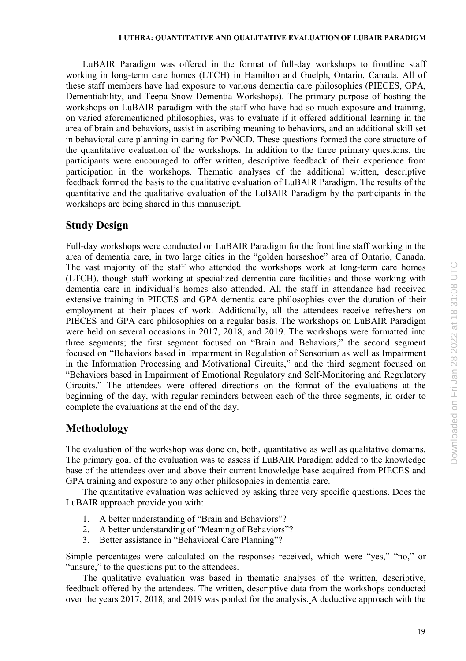LuBAIR Paradigm was offered in the format of full-day workshops to frontline staff working in long-term care homes (LTCH) in Hamilton and Guelph, Ontario, Canada. All of these staff members have had exposure to various dementia care philosophies (PIECES, GPA, Dementiability, and Teepa Snow Dementia Workshops). The primary purpose of hosting the workshops on LuBAIR paradigm with the staff who have had so much exposure and training, on varied aforementioned philosophies, was to evaluate if it offered additional learning in the area of brain and behaviors, assist in ascribing meaning to behaviors, and an additional skill set in behavioral care planning in caring for PwNCD. These questions formed the core structure of the quantitative evaluation of the workshops. In addition to the three primary questions, the participants were encouraged to offer written, descriptive feedback of their experience from participation in the workshops. Thematic analyses of the additional written, descriptive feedback formed the basis to the qualitative evaluation of LuBAIR Paradigm. The results of the quantitative and the qualitative evaluation of the LuBAIR Paradigm by the participants in the workshops are being shared in this manuscript.

## **Study Design**

Full-day workshops were conducted on LuBAIR Paradigm for the front line staff working in the area of dementia care, in two large cities in the "golden horseshoe" area of Ontario, Canada. The vast majority of the staff who attended the workshops work at long-term care homes (LTCH), though staff working at specialized dementia care facilities and those working with dementia care in individual's homes also attended. All the staff in attendance had received extensive training in PIECES and GPA dementia care philosophies over the duration of their employment at their places of work. Additionally, all the attendees receive refreshers on PIECES and GPA care philosophies on a regular basis. The workshops on LuBAIR Paradigm were held on several occasions in 2017, 2018, and 2019. The workshops were formatted into three segments; the first segment focused on "Brain and Behaviors," the second segment focused on "Behaviors based in Impairment in Regulation of Sensorium as well as Impairment in the Information Processing and Motivational Circuits," and the third segment focused on "Behaviors based in Impairment of Emotional Regulatory and Self-Monitoring and Regulatory Circuits." The attendees were offered directions on the format of the evaluations at the beginning of the day, with regular reminders between each of the three segments, in order to complete the evaluations at the end of the day.

## **Methodology**

The evaluation of the workshop was done on, both, quantitative as well as qualitative domains. The primary goal of the evaluation was to assess if LuBAIR Paradigm added to the knowledge base of the attendees over and above their current knowledge base acquired from PIECES and GPA training and exposure to any other philosophies in dementia care.

The quantitative evaluation was achieved by asking three very specific questions. Does the LuBAIR approach provide you with:

- 1. A better understanding of "Brain and Behaviors"?
- 2. A better understanding of "Meaning of Behaviors"?
- 3. Better assistance in "Behavioral Care Planning"?

Simple percentages were calculated on the responses received, which were "yes," "no," or "unsure," to the questions put to the attendees.

The qualitative evaluation was based in thematic analyses of the written, descriptive, feedback offered by the attendees. The written, descriptive data from the workshops conducted over the years 2017, 2018, and 2019 was pooled for the analysis. A deductive approach with the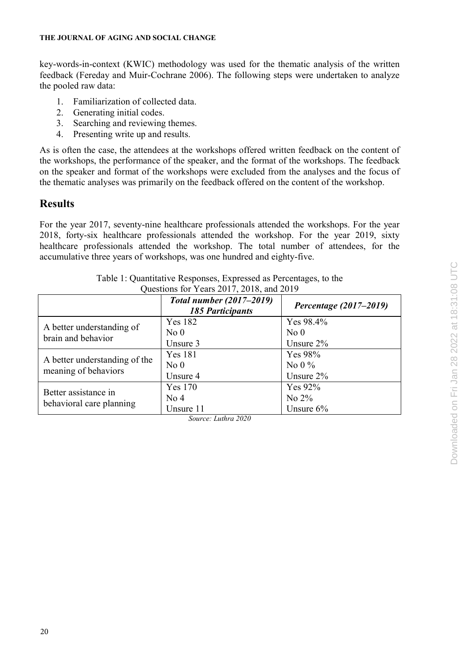key-words-in-context (KWIC) methodology was used for the thematic analysis of the written feedback (Fereday and Muir-Cochrane 2006). The following steps were undertaken to analyze the pooled raw data:

- 1. Familiarization of collected data.
- 2. Generating initial codes.
- 3. Searching and reviewing themes.
- 4. Presenting write up and results.

As is often the case, the attendees at the workshops offered written feedback on the content of the workshops, the performance of the speaker, and the format of the workshops. The feedback on the speaker and format of the workshops were excluded from the analyses and the focus of the thematic analyses was primarily on the feedback offered on the content of the workshop.

## **Results**

For the year 2017, seventy-nine healthcare professionals attended the workshops. For the year 2018, forty-six healthcare professionals attended the workshop. For the year 2019, sixty healthcare professionals attended the workshop. The total number of attendees, for the accumulative three years of workshops, was one hundred and eighty-five.

|                                                       | <b>Total number (2017–2019)</b><br><b>185 Participants</b> | Percentage (2017-2019) |
|-------------------------------------------------------|------------------------------------------------------------|------------------------|
| A better understanding of<br>brain and behavior       | Yes 182                                                    | Yes 98.4%              |
|                                                       | No <sub>0</sub>                                            | No <sub>0</sub>        |
|                                                       | Unsure 3                                                   | Unsure $2\%$           |
| A better understanding of the<br>meaning of behaviors | Yes 181                                                    | Yes 98%                |
|                                                       | No <sub>0</sub>                                            | No 0 $\%$              |
|                                                       | Unsure 4                                                   | Unsure $2\%$           |
| Better assistance in<br>behavioral care planning      | <b>Yes 170</b>                                             | Yes $92\%$             |
|                                                       | No <sub>4</sub>                                            | No $2\%$               |
|                                                       | Unsure 11                                                  | Unsure $6\%$           |

| Table 1: Quantitative Responses, Expressed as Percentages, to the |  |
|-------------------------------------------------------------------|--|
| Questions for Years 2017, 2018, and 2019                          |  |

*Source: Luthra 2020*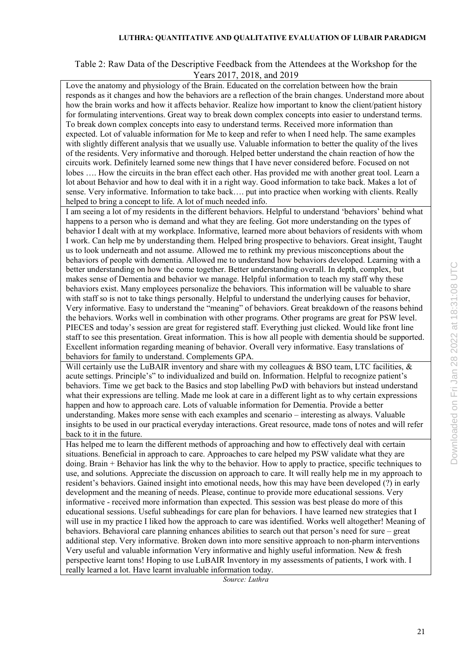## **LUTHRA: QUANTITATIVE AND QUALITATIVE EVALUATION OF LUBAIR PARADIGM**

## Table 2: Raw Data of the Descriptive Feedback from the Attendees at the Workshop for the Years 2017, 2018, and 2019

Love the anatomy and physiology of the Brain. Educated on the correlation between how the brain responds as it changes and how the behaviors are a reflection of the brain changes. Understand more about how the brain works and how it affects behavior. Realize how important to know the client/patient history for formulating interventions. Great way to break down complex concepts into easier to understand terms. To break down complex concepts into easy to understand terms. Received more information than expected. Lot of valuable information for Me to keep and refer to when I need help. The same examples with slightly different analysis that we usually use. Valuable information to better the quality of the lives of the residents. Very informative and thorough. Helped better understand the chain reaction of how the circuits work. Definitely learned some new things that I have never considered before. Focused on not lobes …. How the circuits in the bran effect each other. Has provided me with another great tool. Learn a lot about Behavior and how to deal with it in a right way. Good information to take back. Makes a lot of sense. Very informative. Information to take back…. put into practice when working with clients. Really helped to bring a concept to life. A lot of much needed info.

I am seeing a lot of my residents in the different behaviors. Helpful to understand 'behaviors' behind what happens to a person who is demand and what they are feeling. Got more understanding on the types of behavior I dealt with at my workplace. Informative, learned more about behaviors of residents with whom I work. Can help me by understanding them. Helped bring prospective to behaviors. Great insight, Taught us to look underneath and not assume. Allowed me to rethink my previous misconceptions about the behaviors of people with dementia. Allowed me to understand how behaviors developed. Learning with a better understanding on how the come together. Better understanding overall. In depth, complex, but makes sense of Dementia and behavior we manage. Helpful information to teach my staff why these behaviors exist. Many employees personalize the behaviors. This information will be valuable to share with staff so is not to take things personally. Helpful to understand the underlying causes for behavior, Very informative. Easy to understand the "meaning" of behaviors. Great breakdown of the reasons behind the behaviors. Works well in combination with other programs. Other programs are great for PSW level. PIECES and today's session are great for registered staff. Everything just clicked. Would like front line staff to see this presentation. Great information. This is how all people with dementia should be supported. Excellent information regarding meaning of behavior. Overall very informative. Easy translations of behaviors for family to understand. Complements GPA.

Will certainly use the LuBAIR inventory and share with my colleagues & BSO team, LTC facilities,  $\&$ acute settings. Principle's" to individualized and build on. Information. Helpful to recognize patient's behaviors. Time we get back to the Basics and stop labelling PwD with behaviors but instead understand what their expressions are telling. Made me look at care in a different light as to why certain expressions happen and how to approach care. Lots of valuable information for Dementia. Provide a better understanding. Makes more sense with each examples and scenario – interesting as always. Valuable insights to be used in our practical everyday interactions. Great resource, made tons of notes and will refer back to it in the future.

Has helped me to learn the different methods of approaching and how to effectively deal with certain situations. Beneficial in approach to care. Approaches to care helped my PSW validate what they are doing. Brain + Behavior has link the why to the behavior. How to apply to practice, specific techniques to use, and solutions. Appreciate the discussion on approach to care. It will really help me in my approach to resident's behaviors. Gained insight into emotional needs, how this may have been developed (?) in early development and the meaning of needs. Please, continue to provide more educational sessions. Very informative - received more information than expected. This session was best please do more of this educational sessions. Useful subheadings for care plan for behaviors. I have learned new strategies that I will use in my practice I liked how the approach to care was identified. Works well altogether! Meaning of behaviors. Behavioral care planning enhances abilities to search out that person's need for sure – great additional step. Very informative. Broken down into more sensitive approach to non-pharm interventions Very useful and valuable information Very informative and highly useful information. New & fresh perspective learnt tons! Hoping to use LuBAIR Inventory in my assessments of patients, I work with. I really learned a lot. Have learnt invaluable information today.

*Source: Luthra*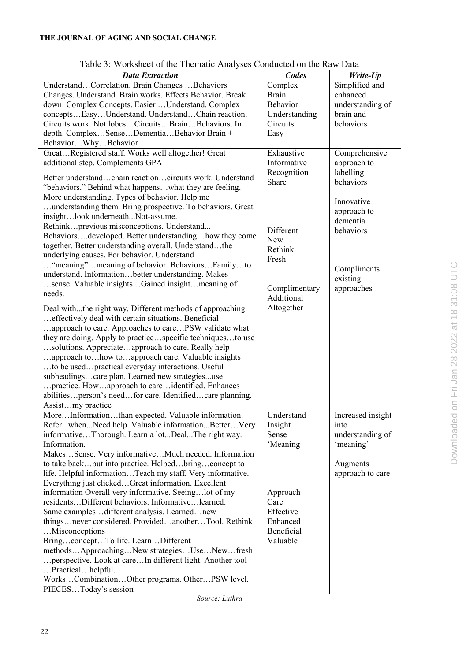| <b>Data Extraction</b>                                                                                        | Codes                  | Write-Up                      |
|---------------------------------------------------------------------------------------------------------------|------------------------|-------------------------------|
| UnderstandCorrelation. Brain Changes Behaviors                                                                | Complex                | Simplified and                |
| Changes. Understand. Brain works. Effects Behavior. Break                                                     | Brain                  | enhanced                      |
| down. Complex Concepts. Easier  Understand. Complex                                                           | Behavior               | understanding of              |
| conceptsEasyUnderstand. UnderstandChain reaction.                                                             | Understanding          | brain and                     |
| Circuits work. Not lobesCircuitsBrainBehaviors. In                                                            | Circuits               | behaviors                     |
| depth. ComplexSenseDementiaBehavior Brain +                                                                   | Easy                   |                               |
| BehaviorWhyBehavior                                                                                           |                        |                               |
| GreatRegistered staff. Works well altogether! Great                                                           | Exhaustive             | Comprehensive                 |
| additional step. Complements GPA                                                                              | Informative            | approach to                   |
| Better understandchain reactioncircuits work. Understand                                                      | Recognition            | labelling<br><b>behaviors</b> |
| "behaviors." Behind what happenswhat they are feeling.                                                        | Share                  |                               |
| More understanding. Types of behavior. Help me                                                                |                        |                               |
| understanding them. Bring prospective. To behaviors. Great                                                    |                        | Innovative                    |
| insightlook underneathNot-assume.                                                                             |                        | approach to<br>dementia       |
| Rethinkprevious misconceptions. Understand                                                                    | Different              | behaviors                     |
| Behaviorsdeveloped. Better understandinghow they come                                                         | <b>New</b>             |                               |
| together. Better understanding overall. Understandthe                                                         | Rethink                |                               |
| underlying causes. For behavior. Understand                                                                   | Fresh                  |                               |
| "meaning" meaning of behavior. Behaviors Family to                                                            |                        | Compliments                   |
| understand. Informationbetter understanding. Makes                                                            |                        |                               |
| sense. Valuable insightsGained insightmeaning of                                                              | Complimentary          | existing<br>approaches        |
| needs.                                                                                                        | Additional             |                               |
|                                                                                                               | Altogether             |                               |
| Deal withthe right way. Different methods of approaching                                                      |                        |                               |
| effectively deal with certain situations. Beneficial<br>approach to care. Approaches to carePSW validate what |                        |                               |
| they are doing. Apply to practicespecific techniquesto use                                                    |                        |                               |
| solutions. Appreciateapproach to care. Really help                                                            |                        |                               |
| approach tohow toapproach care. Valuable insights                                                             |                        |                               |
| to be usedpractical everyday interactions. Useful                                                             |                        |                               |
| subheadingscare plan. Learned new strategiesuse                                                               |                        |                               |
| practice. Howapproach to careidentified. Enhances                                                             |                        |                               |
| abilitiesperson's needfor care. Identifiedcare planning.                                                      |                        |                               |
| Assistmy practice                                                                                             |                        |                               |
| MoreInformationthan expected. Valuable information.                                                           | Understand             | Increased insight             |
| ReferwhenNeed help. Valuable informationBetterVery                                                            | Insight                | into                          |
| informativeThorough. Learn a lotDealThe right way.                                                            | Sense                  | understanding of              |
| Information.                                                                                                  | 'Meaning               | 'meaning'                     |
| MakesSense. Very informativeMuch needed. Information                                                          |                        |                               |
| to take backput into practice. Helpedbringconcept to                                                          |                        | Augments                      |
| life. Helpful informationTeach my staff. Very informative.                                                    |                        | approach to care              |
| Everything just clickedGreat information. Excellent                                                           |                        |                               |
| information Overall very informative. Seeinglot of my                                                         | Approach               |                               |
| residentsDifferent behaviors. Informativelearned.                                                             | Care                   |                               |
| Same examplesdifferent analysis. Learnednew                                                                   | Effective              |                               |
| thingsnever considered. ProvidedanotherTool. Rethink                                                          | Enhanced               |                               |
| Misconceptions                                                                                                | Beneficial<br>Valuable |                               |
| BringconceptTo life. LearnDifferent<br>methodsApproachingNew strategiesUseNewfresh                            |                        |                               |
| perspective. Look at care In different light. Another tool                                                    |                        |                               |
| Practicalhelpful.                                                                                             |                        |                               |
| WorksCombinationOther programs. OtherPSW level.                                                               |                        |                               |
| PIECESToday's session                                                                                         |                        |                               |

Table 3: Worksheet of the Thematic Analyses Conducted on the Raw Data

*Source: Luthra*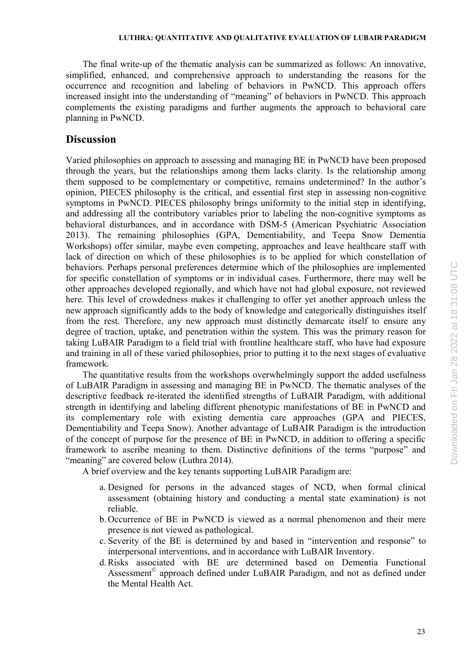The final write-up of the thematic analysis can be summarized as follows: An innovative, simplified, enhanced, and comprehensive approach to understanding the reasons for the occurrence and recognition and labeling of behaviors in PwNCD. This approach offers increased insight into the understanding of "meaning" of behaviors in PwNCD. This approach complements the existing paradigms and further augments the approach to behavioral care planning in PwNCD.

## **Discussion**

Varied philosophies on approach to assessing and managing BE in PwNCD have been proposed through the years, but the relationships among them lacks clarity. Is the relationship among them supposed to be complementary or competitive, remains undetermined? In the author's opinion, PIECES philosophy is the critical, and essential first step in assessing non-cognitive symptoms in PwNCD. PIECES philosophy brings uniformity to the initial step in identifying, and addressing all the contributory variables prior to labeling the non-cognitive symptoms as behavioral disturbances, and in accordance with DSM-5 (American Psychiatric Association 2013). The remaining philosophies (GPA, Dementiability, and Teepa Snow Dementia Workshops) offer similar, maybe even competing, approaches and leave healthcare staff with lack of direction on which of these philosophies is to be applied for which constellation of behaviors. Perhaps personal preferences determine which of the philosophies are implemented for specific constellation of symptoms or in individual cases. Furthermore, there may well be other approaches developed regionally, and which have not had global exposure, not reviewed here. This level of crowdedness makes it challenging to offer yet another approach unless the new approach significantly adds to the body of knowledge and categorically distinguishes itself from the rest. Therefore, any new approach must distinctly demarcate itself to ensure any degree of traction, uptake, and penetration within the system. This was the primary reason for taking LuBAIR Paradigm to a field trial with frontline healthcare staff, who have had exposure and training in all of these varied philosophies, prior to putting it to the next stages of evaluative framework.

The quantitative results from the workshops overwhelmingly support the added usefulness of LuBAIR Paradigm in assessing and managing BE in PwNCD. The thematic analyses of the descriptive feedback re-iterated the identified strengths of LuBAIR Paradigm, with additional strength in identifying and labeling different phenotypic manifestations of BE in PwNCD and its complementary role with existing dementia care approaches (GPA and PIECES, Dementiability and Teepa Snow). Another advantage of LuBAIR Paradigm is the introduction of the concept of purpose for the presence of BE in PwNCD, in addition to offering a specific framework to ascribe meaning to them. Distinctive definitions of the terms "purpose" and "meaning" are covered below (Luthra 2014).

A brief overview and the key tenants supporting LuBAIR Paradigm are:

- a. Designed for persons in the advanced stages of NCD, when formal clinical assessment (obtaining history and conducting a mental state examination) is not reliable.
- b. Occurrence of BE in PwNCD is viewed as a normal phenomenon and their mere presence is not viewed as pathological.
- c. Severity of the BE is determined by and based in "intervention and response" to interpersonal interventions, and in accordance with LuBAIR Inventory.
- d.Risks associated with BE are determined based on Dementia Functional Assessment<sup>©</sup> approach defined under LuBAIR Paradigm, and not as defined under the Mental Health Act.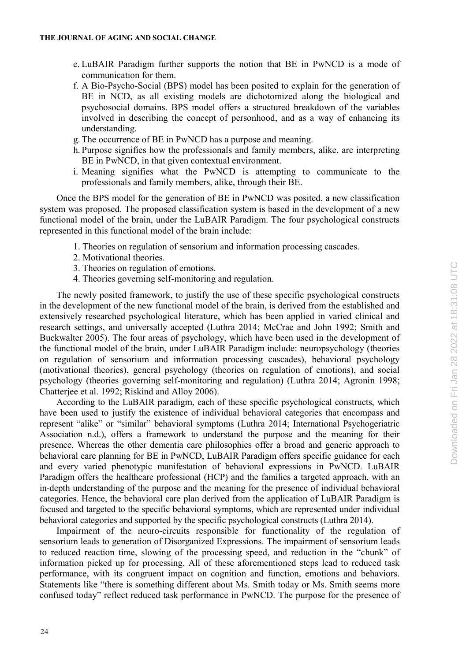- e. LuBAIR Paradigm further supports the notion that BE in PwNCD is a mode of communication for them.
- f. A Bio-Psycho-Social (BPS) model has been posited to explain for the generation of BE in NCD, as all existing models are dichotomized along the biological and psychosocial domains. BPS model offers a structured breakdown of the variables involved in describing the concept of personhood, and as a way of enhancing its understanding.
- g. The occurrence of BE in PwNCD has a purpose and meaning.
- h. Purpose signifies how the professionals and family members, alike, are interpreting BE in PwNCD, in that given contextual environment.
- i. Meaning signifies what the PwNCD is attempting to communicate to the professionals and family members, alike, through their BE.

Once the BPS model for the generation of BE in PwNCD was posited, a new classification system was proposed. The proposed classification system is based in the development of a new functional model of the brain, under the LuBAIR Paradigm. The four psychological constructs represented in this functional model of the brain include:

- 1. Theories on regulation of sensorium and information processing cascades.
- 2. Motivational theories.
- 3. Theories on regulation of emotions.
- 4. Theories governing self-monitoring and regulation.

The newly posited framework, to justify the use of these specific psychological constructs in the development of the new functional model of the brain, is derived from the established and extensively researched psychological literature, which has been applied in varied clinical and research settings, and universally accepted (Luthra 2014; McCrae and John 1992; Smith and Buckwalter 2005). The four areas of psychology, which have been used in the development of the functional model of the brain, under LuBAIR Paradigm include: neuropsychology (theories on regulation of sensorium and information processing cascades), behavioral psychology (motivational theories), general psychology (theories on regulation of emotions), and social psychology (theories governing self-monitoring and regulation) (Luthra 2014; Agronin 1998; Chatterjee et al. 1992; Riskind and Alloy 2006).

According to the LuBAIR paradigm, each of these specific psychological constructs, which have been used to justify the existence of individual behavioral categories that encompass and represent "alike" or "similar" behavioral symptoms (Luthra 2014; International Psychogeriatric Association n.d.), offers a framework to understand the purpose and the meaning for their presence. Whereas the other dementia care philosophies offer a broad and generic approach to behavioral care planning for BE in PwNCD, LuBAIR Paradigm offers specific guidance for each and every varied phenotypic manifestation of behavioral expressions in PwNCD. LuBAIR Paradigm offers the healthcare professional (HCP) and the families a targeted approach, with an in-depth understanding of the purpose and the meaning for the presence of individual behavioral categories. Hence, the behavioral care plan derived from the application of LuBAIR Paradigm is focused and targeted to the specific behavioral symptoms, which are represented under individual behavioral categories and supported by the specific psychological constructs (Luthra 2014).

Impairment of the neuro-circuits responsible for functionality of the regulation of sensorium leads to generation of Disorganized Expressions. The impairment of sensorium leads to reduced reaction time, slowing of the processing speed, and reduction in the "chunk" of information picked up for processing. All of these aforementioned steps lead to reduced task performance, with its congruent impact on cognition and function, emotions and behaviors. Statements like "there is something different about Ms. Smith today or Ms. Smith seems more confused today" reflect reduced task performance in PwNCD. The purpose for the presence of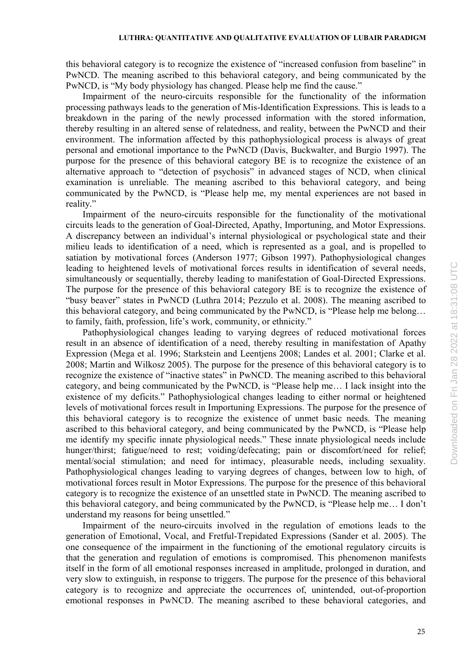## **LUTHRA: QUANTITATIVE AND QUALITATIVE EVALUATION OF LUBAIR PARADIGM**

this behavioral category is to recognize the existence of "increased confusion from baseline" in PwNCD. The meaning ascribed to this behavioral category, and being communicated by the PwNCD, is "My body physiology has changed. Please help me find the cause."

Impairment of the neuro-circuits responsible for the functionality of the information processing pathways leads to the generation of Mis-Identification Expressions. This is leads to a breakdown in the paring of the newly processed information with the stored information, thereby resulting in an altered sense of relatedness, and reality, between the PwNCD and their environment. The information affected by this pathophysiological process is always of great personal and emotional importance to the PwNCD (Davis, Buckwalter, and Burgio 1997). The purpose for the presence of this behavioral category BE is to recognize the existence of an alternative approach to "detection of psychosis" in advanced stages of NCD, when clinical examination is unreliable. The meaning ascribed to this behavioral category, and being communicated by the PwNCD, is "Please help me, my mental experiences are not based in reality."

Impairment of the neuro-circuits responsible for the functionality of the motivational circuits leads to the generation of Goal-Directed, Apathy, Importuning, and Motor Expressions. A discrepancy between an individual's internal physiological or psychological state and their milieu leads to identification of a need, which is represented as a goal, and is propelled to satiation by motivational forces (Anderson 1977; Gibson 1997). Pathophysiological changes leading to heightened levels of motivational forces results in identification of several needs, simultaneously or sequentially, thereby leading to manifestation of Goal-Directed Expressions. The purpose for the presence of this behavioral category BE is to recognize the existence of "busy beaver" states in PwNCD (Luthra 2014; Pezzulo et al. 2008). The meaning ascribed to this behavioral category, and being communicated by the PwNCD, is "Please help me belong… to family, faith, profession, life's work, community, or ethnicity."

Pathophysiological changes leading to varying degrees of reduced motivational forces result in an absence of identification of a need, thereby resulting in manifestation of Apathy Expression (Mega et al. 1996; Starkstein and Leentjens 2008; Landes et al. 2001; Clarke et al. 2008; Martin and Wilkosz 2005). The purpose for the presence of this behavioral category is to recognize the existence of "inactive states" in PwNCD. The meaning ascribed to this behavioral category, and being communicated by the PwNCD, is "Please help me… I lack insight into the existence of my deficits." Pathophysiological changes leading to either normal or heightened levels of motivational forces result in Importuning Expressions. The purpose for the presence of this behavioral category is to recognize the existence of unmet basic needs. The meaning ascribed to this behavioral category, and being communicated by the PwNCD, is "Please help me identify my specific innate physiological needs." These innate physiological needs include hunger/thirst; fatigue/need to rest; voiding/defecating; pain or discomfort/need for relief; mental/social stimulation; and need for intimacy, pleasurable needs, including sexuality. Pathophysiological changes leading to varying degrees of changes, between low to high, of motivational forces result in Motor Expressions. The purpose for the presence of this behavioral category is to recognize the existence of an unsettled state in PwNCD. The meaning ascribed to this behavioral category, and being communicated by the PwNCD, is "Please help me… I don't understand my reasons for being unsettled."

Impairment of the neuro-circuits involved in the regulation of emotions leads to the generation of Emotional, Vocal, and Fretful-Trepidated Expressions (Sander et al. 2005). The one consequence of the impairment in the functioning of the emotional regulatory circuits is that the generation and regulation of emotions is compromised. This phenomenon manifests itself in the form of all emotional responses increased in amplitude, prolonged in duration, and very slow to extinguish, in response to triggers. The purpose for the presence of this behavioral category is to recognize and appreciate the occurrences of, unintended, out-of-proportion emotional responses in PwNCD. The meaning ascribed to these behavioral categories, and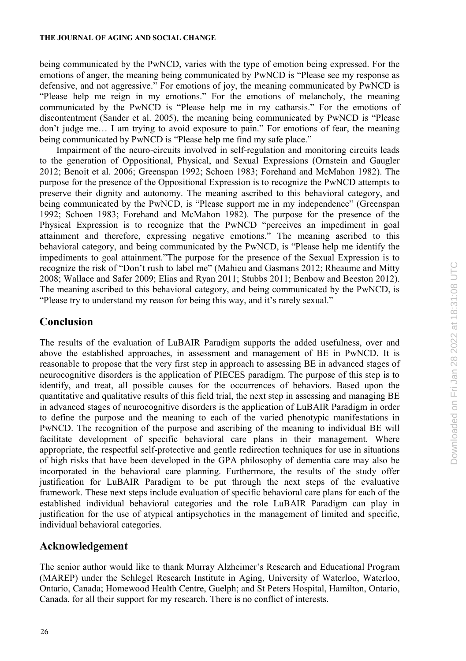being communicated by the PwNCD, varies with the type of emotion being expressed. For the emotions of anger, the meaning being communicated by PwNCD is "Please see my response as defensive, and not aggressive." For emotions of joy, the meaning communicated by PwNCD is "Please help me reign in my emotions." For the emotions of melancholy, the meaning communicated by the PwNCD is "Please help me in my catharsis." For the emotions of discontentment (Sander et al. 2005), the meaning being communicated by PwNCD is "Please don't judge me… I am trying to avoid exposure to pain." For emotions of fear, the meaning being communicated by PwNCD is "Please help me find my safe place."

Impairment of the neuro-circuits involved in self-regulation and monitoring circuits leads to the generation of Oppositional, Physical, and Sexual Expressions (Ornstein and Gaugler 2012; Benoit et al. 2006; Greenspan 1992; Schoen 1983; Forehand and McMahon 1982). The purpose for the presence of the Oppositional Expression is to recognize the PwNCD attempts to preserve their dignity and autonomy. The meaning ascribed to this behavioral category, and being communicated by the PwNCD, is "Please support me in my independence" (Greenspan 1992; Schoen 1983; Forehand and McMahon 1982). The purpose for the presence of the Physical Expression is to recognize that the PwNCD "perceives an impediment in goal attainment and therefore, expressing negative emotions." The meaning ascribed to this behavioral category, and being communicated by the PwNCD, is "Please help me identify the impediments to goal attainment."The purpose for the presence of the Sexual Expression is to recognize the risk of "Don't rush to label me" (Mahieu and Gasmans 2012; Rheaume and Mitty 2008; Wallace and Safer 2009; Elias and Ryan 2011; Stubbs 2011; Benbow and Beeston 2012). The meaning ascribed to this behavioral category, and being communicated by the PwNCD, is "Please try to understand my reason for being this way, and it's rarely sexual."

## **Conclusion**

The results of the evaluation of LuBAIR Paradigm supports the added usefulness, over and above the established approaches, in assessment and management of BE in PwNCD. It is reasonable to propose that the very first step in approach to assessing BE in advanced stages of neurocognitive disorders is the application of PIECES paradigm. The purpose of this step is to identify, and treat, all possible causes for the occurrences of behaviors. Based upon the quantitative and qualitative results of this field trial, the next step in assessing and managing BE in advanced stages of neurocognitive disorders is the application of LuBAIR Paradigm in order to define the purpose and the meaning to each of the varied phenotypic manifestations in PwNCD. The recognition of the purpose and ascribing of the meaning to individual BE will facilitate development of specific behavioral care plans in their management. Where appropriate, the respectful self-protective and gentle redirection techniques for use in situations of high risks that have been developed in the GPA philosophy of dementia care may also be incorporated in the behavioral care planning. Furthermore, the results of the study offer justification for LuBAIR Paradigm to be put through the next steps of the evaluative framework. These next steps include evaluation of specific behavioral care plans for each of the established individual behavioral categories and the role LuBAIR Paradigm can play in justification for the use of atypical antipsychotics in the management of limited and specific, individual behavioral categories.

## **Acknowledgement**

The senior author would like to thank Murray Alzheimer's Research and Educational Program (MAREP) under the Schlegel Research Institute in Aging, University of Waterloo, Waterloo, Ontario, Canada; Homewood Health Centre, Guelph; and St Peters Hospital, Hamilton, Ontario, Canada, for all their support for my research. There is no conflict of interests.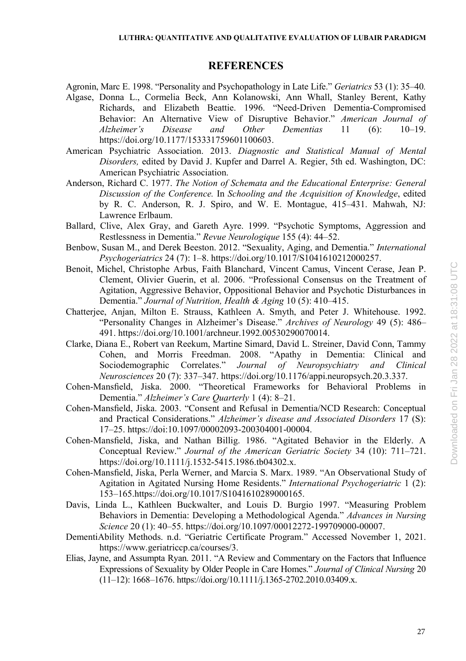## **REFERENCES**

Agronin, Marc E. 1998. "Personality and Psychopathology in Late Life." *Geriatrics* 53 (1): 35–40*.*

- Algase, Donna L., Cormelia Beck, Ann Kolanowski, Ann Whall, Stanley Berent, Kathy Richards, and Elizabeth Beattie. 1996. "Need-Driven Dementia-Compromised Behavior: An Alternative View of Disruptive Behavior." *American Journal of Alzheimer's Disease and Other Dementias* 11 (6): 10–19. https://doi.org/10.1177/153331759601100603.
- American Psychiatric Association. 2013. *Diagnostic and Statistical Manual of Mental Disorders,* edited by David J. Kupfer and Darrel A. Regier, 5th ed. Washington, DC: American Psychiatric Association.
- Anderson, Richard C. 1977. *The Notion of Schemata and the Educational Enterprise: General Discussion of the Conference.* In *Schooling and the Acquisition of Knowledge*, edited by R. C. Anderson, R. J. Spiro, and W. E. Montague, 415–431. Mahwah, NJ: Lawrence Erlbaum.
- Ballard, Clive, Alex Gray, and Gareth Ayre. 1999. "Psychotic Symptoms, Aggression and Restlessness in Dementia." *Revue Neurologique* 155 (4): 44–52.
- Benbow, Susan M., and Derek Beeston. 2012. "Sexuality, Aging, and Dementia." *International Psychogeriatrics* 24 (7): 1–8. https://doi.org/10.1017/S1041610212000257.
- Benoit, Michel, Christophe Arbus, Faith Blanchard, Vincent Camus, Vincent Cerase, Jean P. Clement, Olivier Guerin, et al. 2006. "Professional Consensus on the Treatment of Agitation, Aggressive Behavior, Oppositional Behavior and Psychotic Disturbances in Dementia." *Journal of Nutrition, Health & Aging* 10 (5): 410–415.
- Chatterjee, Anjan, Milton E. Strauss, Kathleen A. Smyth, and Peter J. Whitehouse. 1992. "Personality Changes in Alzheimer's Disease." *Archives of Neurology* 49 (5): 486– 491. https://doi.org/10.1001/archneur.1992.00530290070014.
- Clarke, Diana E., Robert van Reekum, Martine Simard, David L. Streiner, David Conn, Tammy Cohen, and Morris Freedman. 2008. "Apathy in Dementia: Clinical and Sociodemographic Correlates." *Journal of Neuropsychiatry and Clinical Neurosciences* 20 (7): 337–347. https://doi.org/10.1176/appi.neuropsych.20.3.337.
- Cohen-Mansfield, Jiska. 2000. "Theoretical Frameworks for Behavioral Problems in Dementia." *Alzheimer's Care Quarterly* 1 (4): 8–21.
- Cohen-Mansfield, Jiska. 2003. "Consent and Refusal in Dementia/NCD Research: Conceptual and Practical Considerations." *Alzheimer's disease and Associated Disorders* 17 (S): 17–25. https://doi:10.1097/00002093-200304001-00004.
- Cohen-Mansfield, Jiska, and Nathan Billig. 1986. "Agitated Behavior in the Elderly. A Conceptual Review." *Journal of the American Geriatric Society* 34 (10): 711–721. https://doi.org/10.1111/j.1532-5415.1986.tb04302.x.
- Cohen-Mansfield, Jiska, Perla Werner, and Marcia S. Marx. 1989. "An Observational Study of Agitation in Agitated Nursing Home Residents." *International Psychogeriatric* 1 (2): 153–165.https://doi.org/10.1017/S1041610289000165.
- Davis, Linda L., Kathleen Buckwalter, and Louis D. Burgio 1997. "Measuring Problem Behaviors in Dementia: Developing a Methodological Agenda." *Advances in Nursing Science* 20 (1): 40–55. https://doi.org/10.1097/00012272-199709000-00007.
- DementiAbility Methods. n.d. "Geriatric Certificate Program." Accessed November 1, 2021. https://www.geriatriccp.ca/courses/3.
- Elias, Jayne, and Assumpta Ryan. 2011. "A Review and Commentary on the Factors that Influence Expressions of Sexuality by Older People in Care Homes." *Journal of Clinical Nursing* 20 (11–12): 1668–1676. https://doi.org/10.1111/j.1365-2702.2010.03409.x.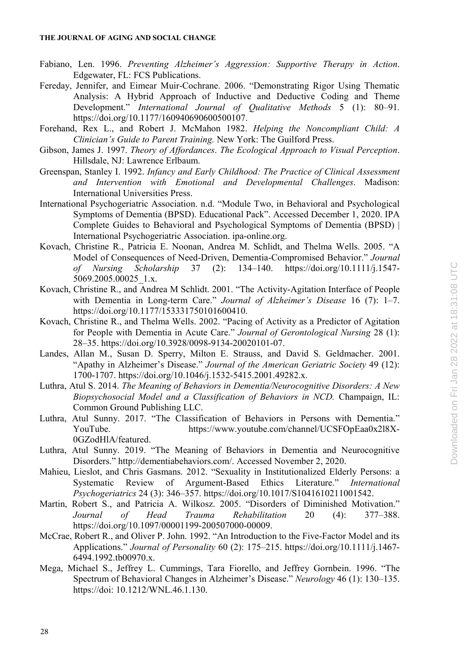- Fabiano, Len. 1996. *Preventing Alzheimer's Aggression: Supportive Therapy in Action*. Edgewater, FL: FCS Publications.
- Fereday, Jennifer, and Eimear Muir-Cochrane. 2006. "Demonstrating Rigor Using Thematic Analysis: A Hybrid Approach of Inductive and Deductive Coding and Theme Development." *International Journal of Qualitative Methods* 5 (1): 80–91*.*  https://doi.org/10.1177/160940690600500107.
- Forehand, Rex L., and Robert J. McMahon 1982. *Helping the Noncompliant Child: A Clinician's Guide to Parent Training.* New York: The Guilford Press.
- Gibson, James J. 1997. *Theory of Affordances*. *The Ecological Approach to Visual Perception*. Hillsdale, NJ: Lawrence Erlbaum.
- Greenspan, Stanley I. 1992. *Infancy and Early Childhood: The Practice of Clinical Assessment and Intervention with Emotional and Developmental Challenges*. Madison: International Universities Press.
- International Psychogeriatric Association. n.d. "Module Two, in Behavioral and Psychological Symptoms of Dementia (BPSD). Educational Pack". Accessed December 1, 2020. IPA Complete Guides to Behavioral and Psychological Symptoms of Dementia (BPSD) | International Psychogeriatric Association. ipa-online.org.
- Kovach, Christine R., Patricia E. Noonan, Andrea M. Schlidt, and Thelma Wells. 2005. "A Model of Consequences of Need-Driven, Dementia-Compromised Behavior." *Journal of Nursing Scholarship* 37 (2): 134–140. https://doi.org/10.1111/j.1547- 5069.2005.00025\_1.x.
- Kovach, Christine R., and Andrea M Schlidt. 2001. "The Activity-Agitation Interface of People with Dementia in Long-term Care." *Journal of Alzheimer's Disease* 16 (7): 1–7. https://doi.org/10.1177/153331750101600410.
- Kovach, Christine R., and Thelma Wells. 2002. "Pacing of Activity as a Predictor of Agitation for People with Dementia in Acute Care." *Journal of Gerontological Nursing* 28 (1): 28–35. https://doi.org/10.3928/0098-9134-20020101-07.
- Landes, Allan M., Susan D. Sperry, Milton E. Strauss, and David S. Geldmacher. 2001. "Apathy in Alzheimer's Disease." *Journal of the American Geriatric Society* 49 (12): 1700-1707. https://doi.org/10.1046/j.1532-5415.2001.49282.x.
- Luthra, Atul S. 2014. *The Meaning of Behaviors in Dementia/Neurocognitive Disorders: A New Biopsychosocial Model and a Classification of Behaviors in NCD.* Champaign, IL: Common Ground Publishing LLC.
- Luthra, Atul Sunny. 2017. "The Classification of Behaviors in Persons with Dementia." YouTube. https://www.youtube.com/channel/UCSFOpEaa0x2l8X-0GZodHlA/featured.
- Luthra, Atul Sunny. 2019. "The Meaning of Behaviors in Dementia and Neurocognitive Disorders." http://dementiabehaviors.com/. Accessed November 2, 2020.
- Mahieu, Lieslot, and Chris Gasmans. 2012. "Sexuality in Institutionalized Elderly Persons: a Systematic Review of Argument-Based Ethics Literature." *International Psychogeriatrics* 24 (3): 346–357. https://doi.org/10.1017/S1041610211001542.
- Martin, Robert S., and Patricia A. Wilkosz. 2005. "Disorders of Diminished Motivation." *Journal of Head Trauma Rehabilitation* 20 (4): 377–388. https://doi.org/10.1097/00001199-200507000-00009.
- McCrae, Robert R., and Oliver P. John. 1992. "An Introduction to the Five-Factor Model and its Applications." *Journal of Personality* 60 (2): 175–215. https://doi.org/10.1111/j.1467- 6494.1992.tb00970.x.
- Mega, Michael S., Jeffrey L. Cummings, Tara Fiorello, and Jeffrey Gornbein. 1996. "The Spectrum of Behavioral Changes in Alzheimer's Disease." *Neurology* 46 (1): 130–135. https://doi: 10.1212/WNL.46.1.130.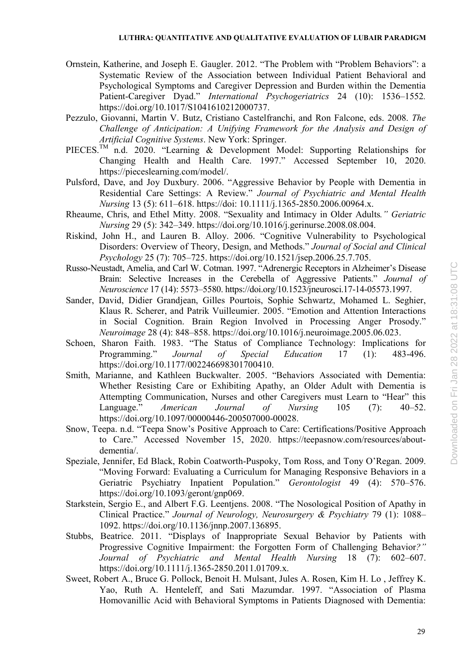- Ornstein, Katherine, and Joseph E. Gaugler. 2012. "The Problem with "Problem Behaviors": a Systematic Review of the Association between Individual Patient Behavioral and Psychological Symptoms and Caregiver Depression and Burden within the Dementia Patient-Caregiver Dyad." *International Psychogeriatrics* 24 (10): 1536–1552*.*  https://doi.org/10.1017/S1041610212000737.
- Pezzulo, Giovanni, Martin V. Butz, Cristiano Castelfranchi, and Ron Falcone, eds. 2008. *The Challenge of Anticipation: A Unifying Framework for the Analysis and Design of Artificial Cognitive Systems*. New York: Springer.
- PIECES.<sup>TM</sup> n.d. 2020. "Learning & Development Model: Supporting Relationships for Changing Health and Health Care. 1997." Accessed September 10, 2020. https://pieceslearning.com/model/.
- Pulsford, Dave, and Joy Duxbury. 2006. "Aggressive Behavior by People with Dementia in Residential Care Settings: A Review." *Journal of Psychiatric and Mental Health Nursing* 13 (5): 611–618. https://doi: 10.1111/j.1365-2850.2006.00964.x.
- Rheaume, Chris, and Ethel Mitty. 2008. "Sexuality and Intimacy in Older Adults*." Geriatric Nursing* 29 (5): 342–349. https://doi.org/10.1016/j.gerinurse.2008.08.004.
- Riskind, John H., and Lauren B. Alloy. 2006. "Cognitive Vulnerability to Psychological Disorders: Overview of Theory, Design, and Methods." *Journal of Social and Clinical Psychology* 25 (7): 705–725. https://doi.org/10.1521/jsep.2006.25.7.705.
- Russo-Neustadt, Amelia, and Carl W. Cotman. 1997. "Adrenergic Receptors in Alzheimer's Disease Brain: Selective Increases in the Cerebella of Aggressive Patients." *Journal of Neuroscience* 17 (14): 5573–5580. https://doi.org/10.1523/jneurosci.17-14-05573.1997.
- Sander, David, Didier Grandjean, Gilles Pourtois, Sophie Schwartz, Mohamed L. Seghier, Klaus R. Scherer, and Patrik Vuilleumier. 2005. "Emotion and Attention Interactions in Social Cognition. Brain Region Involved in Processing Anger Prosody." *Neuroimage* 28 (4): 848–858. https://doi.org/10.1016/j.neuroimage.2005.06.023.
- Schoen, Sharon Faith. 1983. "The Status of Compliance Technology: Implications for Programming." *Journal of Special Education* 17 (1): 483-496. https://doi.org/10.1177/002246698301700410.
- Smith, Marianne, and Kathleen Buckwalter. 2005. "Behaviors Associated with Dementia: Whether Resisting Care or Exhibiting Apathy, an Older Adult with Dementia is Attempting Communication, Nurses and other Caregivers must Learn to "Hear" this Language." *American Journal of Nursing* 105 (7): 40–52. https://doi.org/10.1097/00000446-200507000-00028.
- Snow, Teepa. n.d. "Teepa Snow's Positive Approach to Care: Certifications/Positive Approach to Care." Accessed November 15, 2020. https://teepasnow.com/resources/aboutdementia/.
- Speziale, Jennifer, Ed Black, Robin Coatworth-Puspoky, Tom Ross, and Tony O'Regan. 2009. "Moving Forward: Evaluating a Curriculum for Managing Responsive Behaviors in a Geriatric Psychiatry Inpatient Population." *Gerontologist* 49 (4): 570–576. https://doi.org/10.1093/geront/gnp069.
- Starkstein, Sergio E., and Albert F.G. Leentjens. 2008. "The Nosological Position of Apathy in Clinical Practice." *Journal of Neurology, Neurosurgery & Psychiatry* 79 (1): 1088– 1092. https://doi.org/10.1136/jnnp.2007.136895.
- Stubbs, Beatrice. 2011. "Displays of Inappropriate Sexual Behavior by Patients with Progressive Cognitive Impairment: the Forgotten Form of Challenging Behavior*?" Journal of Psychiatric and Mental Health Nursing* 18 (7): 602–607. https://doi.org/10.1111/j.1365-2850.2011.01709.x.
- Sweet, Robert A., Bruce G. Pollock, Benoit H. Mulsant, Jules A. Rosen, Kim H. Lo , Jeffrey K. Yao, Ruth A. Henteleff, and Sati Mazumdar. 1997. "Association of Plasma Homovanillic Acid with Behavioral Symptoms in Patients Diagnosed with Dementia: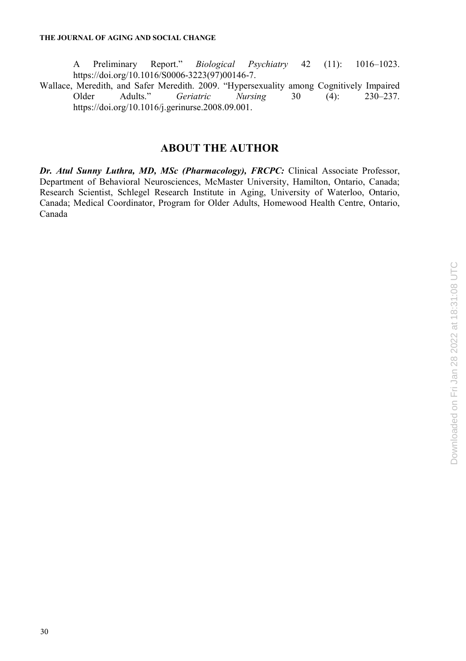A Preliminary Report." *Biological Psychiatry* 42 (11): 1016–1023. https://doi.org/10.1016/S0006-3223(97)00146-7.

Wallace, Meredith, and Safer Meredith. 2009. "Hypersexuality among Cognitively Impaired<br>Older Adults." Geriatric Nursing 30 (4): 230–237. Older Adults." *Geriatric Nursing* 30 (4): 230–237. https://doi.org/10.1016/j.gerinurse.2008.09.001.

## **ABOUT THE AUTHOR**

*Dr. Atul Sunny Luthra, MD, MSc (Pharmacology), FRCPC:* Clinical Associate Professor, Department of Behavioral Neurosciences, McMaster University, Hamilton, Ontario, Canada; Research Scientist, Schlegel Research Institute in Aging, University of Waterloo, Ontario, Canada; Medical Coordinator, Program for Older Adults, Homewood Health Centre, Ontario, Canada